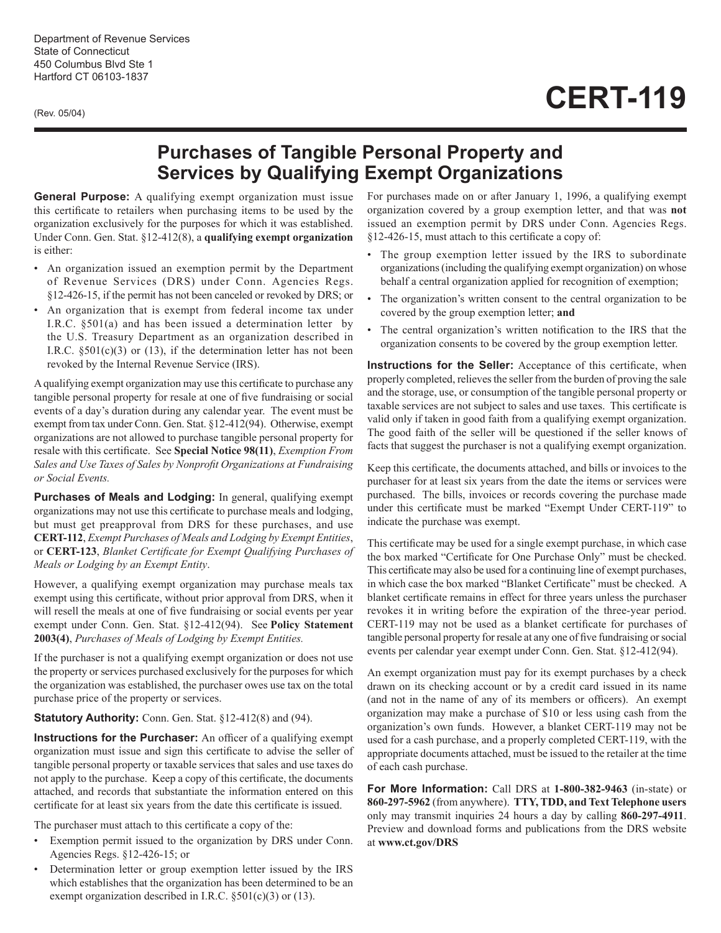Department of Revenue Services State of Connecticut 450 Columbus Blvd Ste 1 Hartford CT 06103-1837

(Rev. 05/04)

## **CERT-119**

## **Purchases of Tangible Personal Property and Services by Qualifying Exempt Organizations**

**General Purpose:** A qualifying exempt organization must issue this certificate to retailers when purchasing items to be used by the organization exclusively for the purposes for which it was established. Under Conn. Gen. Stat. §12-412(8), a **qualifying exempt organization** is either:

- An organization issued an exemption permit by the Department of Revenue Services (DRS) under Conn. Agencies Regs. §12-426-15, if the permit has not been canceled or revoked by DRS; or
- An organization that is exempt from federal income tax under I.R.C. §501(a) and has been issued a determination letter by the U.S. Treasury Department as an organization described in I.R.C.  $\S501(c)(3)$  or (13), if the determination letter has not been revoked by the Internal Revenue Service (IRS).

A qualifying exempt organization may use this certificate to purchase any tangible personal property for resale at one of five fundraising or social events of a day's duration during any calendar year. The event must be exempt from tax under Conn. Gen. Stat. §12-412(94). Otherwise, exempt organizations are not allowed to purchase tangible personal property for resale with this certificate. See **Special Notice 98(11)**, *Exemption From Sales and Use Taxes of Sales by Nonprofit Organizations at Fundraising or Social Events.*

**Purchases of Meals and Lodging:** In general, qualifying exempt organizations may not use this certificate to purchase meals and lodging, but must get preapproval from DRS for these purchases, and use **CERT-112**, *Exempt Purchases of Meals and Lodging by Exempt Entities*, or **CERT-123**, *Blanket Certificate for Exempt Qualifying Purchases of Meals or Lodging by an Exempt Entity*.

However, a qualifying exempt organization may purchase meals tax exempt using this certificate, without prior approval from DRS, when it will resell the meals at one of five fundraising or social events per year exempt under Conn. Gen. Stat. §12-412(94). See  **Policy Statement 2003(4)**, *Purchases of Meals of Lodging by Exempt Entities.*

If the purchaser is not a qualifying exempt organization or does not use the property or services purchased exclusively for the purposes for which the organization was established, the purchaser owes use tax on the total purchase price of the property or services.

## **Statutory Authority:** Conn. Gen. Stat. §12-412(8) and (94).

**Instructions for the Purchaser:** An officer of a qualifying exempt organization must issue and sign this certificate to advise the seller of tangible personal property or taxable services that sales and use taxes do not apply to the purchase. Keep a copy of this certificate, the documents attached, and records that substantiate the information entered on this certificate for at least six years from the date this certificate is issued.

The purchaser must attach to this certificate a copy of the:

- Exemption permit issued to the organization by DRS under Conn. Agencies Regs. §12-426-15; or
- Determination letter or group exemption letter issued by the IRS which establishes that the organization has been determined to be an exempt organization described in I.R.C. §501(c)(3) or (13).

For purchases made on or after January 1, 1996, a qualifying exempt organization covered by a group exemption letter, and that was **not**  issued an exemption permit by DRS under Conn. Agencies Regs. §12-426-15, must attach to this certificate a copy of:

- The group exemption letter issued by the IRS to subordinate organizations (including the qualifying exempt organization) on whose behalf a central organization applied for recognition of exemption;
- The organization's written consent to the central organization to be covered by the group exemption letter; **and**
- The central organization's written notification to the IRS that the organization consents to be covered by the group exemption letter.

**Instructions for the Seller:** Acceptance of this certificate, when properly completed, relieves the seller from the burden of proving the sale and the storage, use, or consumption of the tangible personal property or taxable services are not subject to sales and use taxes. This certificate is valid only if taken in good faith from a qualifying exempt organization. The good faith of the seller will be questioned if the seller knows of facts that suggest the purchaser is not a qualifying exempt organization.

Keep this certificate, the documents attached, and bills or invoices to the purchaser for at least six years from the date the items or services were purchased. The bills, invoices or records covering the purchase made under this certificate must be marked "Exempt Under CERT-119" to indicate the purchase was exempt.

This certificate may be used for a single exempt purchase, in which case the box marked "Certificate for One Purchase Only" must be checked. This certificate may also be used for a continuing line of exempt purchases, in which case the box marked "Blanket Certificate" must be checked. A blanket certificate remains in effect for three years unless the purchaser revokes it in writing before the expiration of the three-year period. CERT-119 may not be used as a blanket certificate for purchases of tangible personal property for resale at any one of five fundraising or social events per calendar year exempt under Conn. Gen. Stat. §12-412(94).

An exempt organization must pay for its exempt purchases by a check drawn on its checking account or by a credit card issued in its name (and not in the name of any of its members or officers). An exempt organization may make a purchase of \$10 or less using cash from the organization's own funds. However, a blanket CERT-119 may not be used for a cash purchase, and a properly completed CERT-119, with the appropriate documents attached, must be issued to the retailer at the time of each cash purchase.

**For More Information:** Call DRS at **1-800-382-9463** (in-state) or **860-297-5962** (from anywhere). **TTY, TDD, and Text Telephone users** only may transmit inquiries 24 hours a day by calling **860-297-4911**. Preview and download forms and publications from the DRS website at **www.ct.gov/DRS**